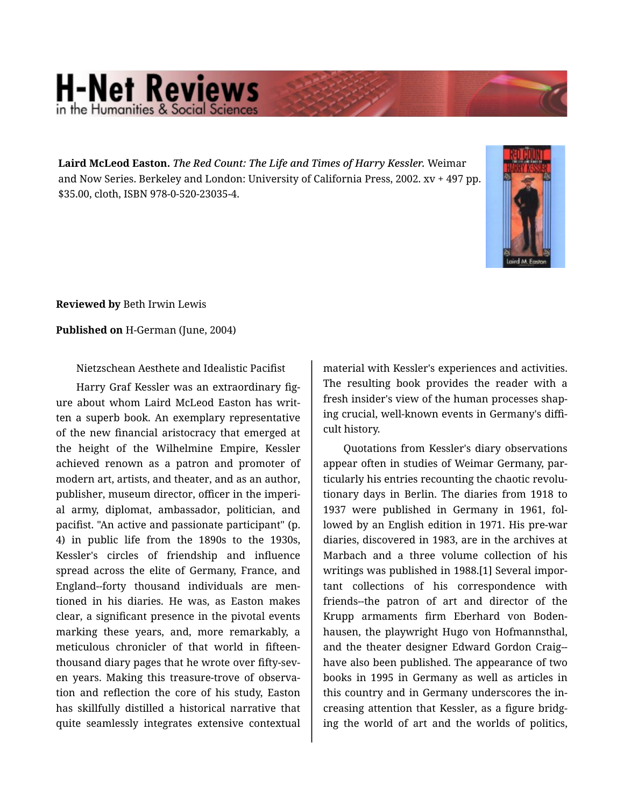## **H-Net Reviews** in the Humanities & Social Scienc

**Laird McLeod Easton.** *The Red Count: The Life and Times of Harry Kessler.* Weimar and Now Series. Berkeley and London: University of California Press, 2002. xv + 497 pp. \$35.00, cloth, ISBN 978-0-520-23035-4.



**Reviewed by** Beth Irwin Lewis

**Published on** H-German (June, 2004)

Nietzschean Aesthete and Idealistic Pacifist

Harry Graf Kessler was an extraordinary fig‐ ure about whom Laird McLeod Easton has writ‐ ten a superb book. An exemplary representative of the new financial aristocracy that emerged at the height of the Wilhelmine Empire, Kessler achieved renown as a patron and promoter of modern art, artists, and theater, and as an author, publisher, museum director, officer in the imperi‐ al army, diplomat, ambassador, politician, and pacifist. "An active and passionate participant" (p. 4) in public life from the 1890s to the 1930s, Kessler's circles of friendship and influence spread across the elite of Germany, France, and England--forty thousand individuals are men‐ tioned in his diaries. He was, as Easton makes clear, a significant presence in the pivotal events marking these years, and, more remarkably, a meticulous chronicler of that world in fifteenthousand diary pages that he wrote over fifty-sev‐ en years. Making this treasure-trove of observa‐ tion and reflection the core of his study, Easton has skillfully distilled a historical narrative that quite seamlessly integrates extensive contextual material with Kessler's experiences and activities. The resulting book provides the reader with a fresh insider's view of the human processes shap‐ ing crucial, well-known events in Germany's diffi‐ cult history.

Quotations from Kessler's diary observations appear often in studies of Weimar Germany, par‐ ticularly his entries recounting the chaotic revolu‐ tionary days in Berlin. The diaries from 1918 to 1937 were published in Germany in 1961, fol‐ lowed by an English edition in 1971. His pre-war diaries, discovered in 1983, are in the archives at Marbach and a three volume collection of his writings was published in 1988.[1] Several impor‐ tant collections of his correspondence with friends--the patron of art and director of the Krupp armaments firm Eberhard von Boden‐ hausen, the playwright Hugo von Hofmannsthal, and the theater designer Edward Gordon Craig- have also been published. The appearance of two books in 1995 in Germany as well as articles in this country and in Germany underscores the in‐ creasing attention that Kessler, as a figure bridg‐ ing the world of art and the worlds of politics,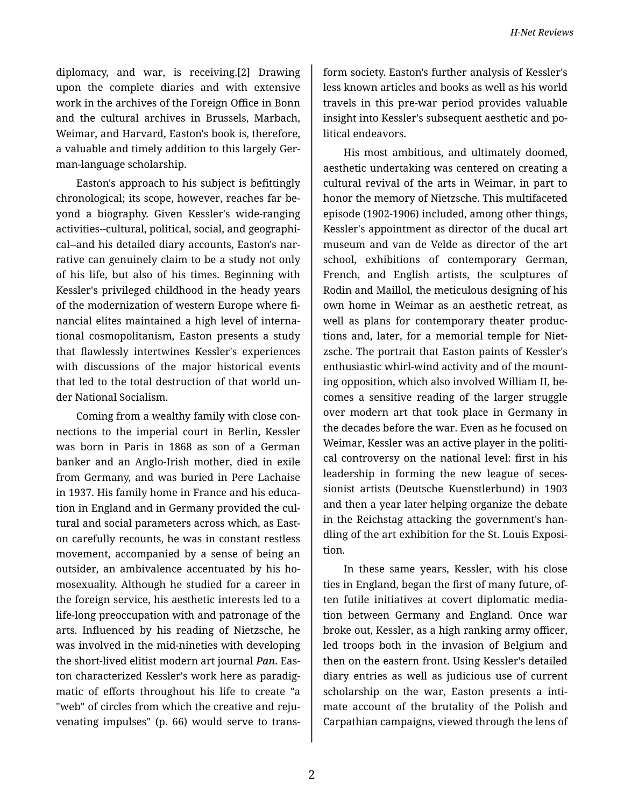diplomacy, and war, is receiving.[2] Drawing upon the complete diaries and with extensive work in the archives of the Foreign Office in Bonn and the cultural archives in Brussels, Marbach, Weimar, and Harvard, Easton's book is, therefore, a valuable and timely addition to this largely Ger‐ man-language scholarship.

Easton's approach to his subject is befittingly chronological; its scope, however, reaches far be‐ yond a biography. Given Kessler's wide-ranging activities--cultural, political, social, and geographi‐ cal--and his detailed diary accounts, Easton's nar‐ rative can genuinely claim to be a study not only of his life, but also of his times. Beginning with Kessler's privileged childhood in the heady years of the modernization of western Europe where fi‐ nancial elites maintained a high level of interna‐ tional cosmopolitanism, Easton presents a study that flawlessly intertwines Kessler's experiences with discussions of the major historical events that led to the total destruction of that world un‐ der National Socialism.

Coming from a wealthy family with close con‐ nections to the imperial court in Berlin, Kessler was born in Paris in 1868 as son of a German banker and an Anglo-Irish mother, died in exile from Germany, and was buried in Pere Lachaise in 1937. His family home in France and his educa‐ tion in England and in Germany provided the cul‐ tural and social parameters across which, as East‐ on carefully recounts, he was in constant restless movement, accompanied by a sense of being an outsider, an ambivalence accentuated by his ho‐ mosexuality. Although he studied for a career in the foreign service, his aesthetic interests led to a life-long preoccupation with and patronage of the arts. Influenced by his reading of Nietzsche, he was involved in the mid-nineties with developing the short-lived elitist modern art journal *Pan*. Eas‐ ton characterized Kessler's work here as paradig‐ matic of efforts throughout his life to create "a "web" of circles from which the creative and reju‐ venating impulses" (p. 66) would serve to trans‐

form society. Easton's further analysis of Kessler's less known articles and books as well as his world travels in this pre-war period provides valuable insight into Kessler's subsequent aesthetic and po‐ litical endeavors.

His most ambitious, and ultimately doomed, aesthetic undertaking was centered on creating a cultural revival of the arts in Weimar, in part to honor the memory of Nietzsche. This multifaceted episode (1902-1906) included, among other things, Kessler's appointment as director of the ducal art museum and van de Velde as director of the art school, exhibitions of contemporary German, French, and English artists, the sculptures of Rodin and Maillol, the meticulous designing of his own home in Weimar as an aesthetic retreat, as well as plans for contemporary theater produc‐ tions and, later, for a memorial temple for Niet‐ zsche. The portrait that Easton paints of Kessler's enthusiastic whirl-wind activity and of the mount‐ ing opposition, which also involved William II, be‐ comes a sensitive reading of the larger struggle over modern art that took place in Germany in the decades before the war. Even as he focused on Weimar, Kessler was an active player in the political controversy on the national level: first in his leadership in forming the new league of seces‐ sionist artists (Deutsche Kuenstlerbund) in 1903 and then a year later helping organize the debate in the Reichstag attacking the government's han‐ dling of the art exhibition for the St. Louis Exposi‐ tion.

In these same years, Kessler, with his close ties in England, began the first of many future, of‐ ten futile initiatives at covert diplomatic media‐ tion between Germany and England. Once war broke out, Kessler, as a high ranking army officer, led troops both in the invasion of Belgium and then on the eastern front. Using Kessler's detailed diary entries as well as judicious use of current scholarship on the war, Easton presents a inti‐ mate account of the brutality of the Polish and Carpathian campaigns, viewed through the lens of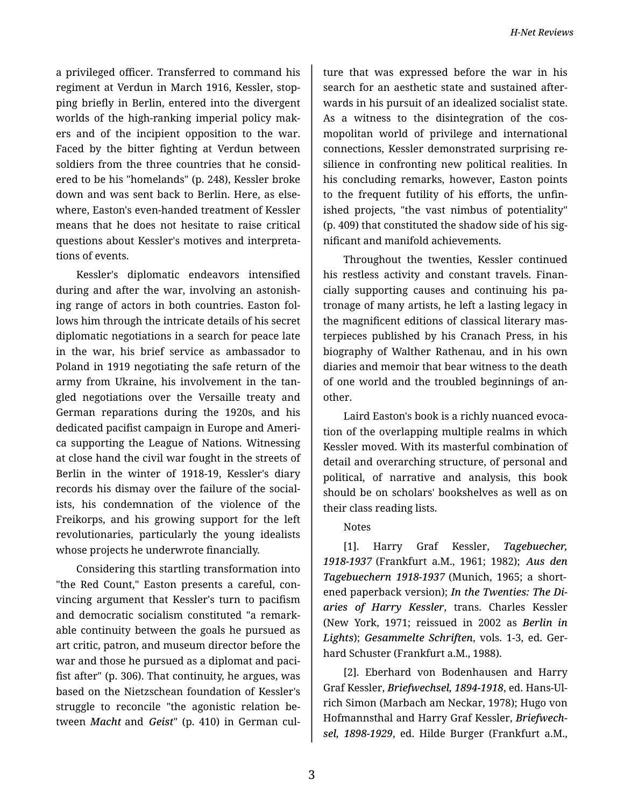a privileged officer. Transferred to command his regiment at Verdun in March 1916, Kessler, stop‐ ping briefly in Berlin, entered into the divergent worlds of the high-ranking imperial policy makers and of the incipient opposition to the war. Faced by the bitter fighting at Verdun between soldiers from the three countries that he consid‐ ered to be his "homelands" (p. 248), Kessler broke down and was sent back to Berlin. Here, as else‐ where, Easton's even-handed treatment of Kessler means that he does not hesitate to raise critical questions about Kessler's motives and interpreta‐ tions of events.

Kessler's diplomatic endeavors intensified during and after the war, involving an astonish‐ ing range of actors in both countries. Easton fol‐ lows him through the intricate details of his secret diplomatic negotiations in a search for peace late in the war, his brief service as ambassador to Poland in 1919 negotiating the safe return of the army from Ukraine, his involvement in the tan‐ gled negotiations over the Versaille treaty and German reparations during the 1920s, and his dedicated pacifist campaign in Europe and Ameri‐ ca supporting the League of Nations. Witnessing at close hand the civil war fought in the streets of Berlin in the winter of 1918-19, Kessler's diary records his dismay over the failure of the social‐ ists, his condemnation of the violence of the Freikorps, and his growing support for the left revolutionaries, particularly the young idealists whose projects he underwrote financially.

Considering this startling transformation into "the Red Count," Easton presents a careful, con‐ vincing argument that Kessler's turn to pacifism and democratic socialism constituted "a remark‐ able continuity between the goals he pursued as art critic, patron, and museum director before the war and those he pursued as a diplomat and paci‐ fist after" (p. 306). That continuity, he argues, was based on the Nietzschean foundation of Kessler's struggle to reconcile "the agonistic relation be‐ tween *Macht* and *Geist*" (p. 410) in German cul‐

ture that was expressed before the war in his search for an aesthetic state and sustained after‐ wards in his pursuit of an idealized socialist state. As a witness to the disintegration of the cos‐ mopolitan world of privilege and international connections, Kessler demonstrated surprising re‐ silience in confronting new political realities. In his concluding remarks, however, Easton points to the frequent futility of his efforts, the unfin‐ ished projects, "the vast nimbus of potentiality" (p. 409) that constituted the shadow side of his sig‐ nificant and manifold achievements.

Throughout the twenties, Kessler continued his restless activity and constant travels. Finan‐ cially supporting causes and continuing his pa‐ tronage of many artists, he left a lasting legacy in the magnificent editions of classical literary mas‐ terpieces published by his Cranach Press, in his biography of Walther Rathenau, and in his own diaries and memoir that bear witness to the death of one world and the troubled beginnings of an‐ other.

Laird Easton's book is a richly nuanced evoca‐ tion of the overlapping multiple realms in which Kessler moved. With its masterful combination of detail and overarching structure, of personal and political, of narrative and analysis, this book should be on scholars' bookshelves as well as on their class reading lists.

## Notes

[1]. Harry Graf Kessler, *Tagebuecher, 1918-1937* (Frankfurt a.M., 1961; 1982); *Aus den Tagebuechern 1918-1937* (Munich, 1965; a short‐ ened paperback version); *In the Twenties: The Di‐ aries of Harry Kessler*, trans. Charles Kessler (New York, 1971; reissued in 2002 as *Berlin in Lights*); *Gesammelte Schriften*, vols. 1-3, ed. Ger‐ hard Schuster (Frankfurt a.M., 1988).

[2]. Eberhard von Bodenhausen and Harry Graf Kessler, *Briefwechsel, 1894-1918*, ed. Hans-Ul‐ rich Simon (Marbach am Neckar, 1978); Hugo von Hofmannsthal and Harry Graf Kessler, *Briefwech‐ sel, 1898-1929*, ed. Hilde Burger (Frankfurt a.M.,